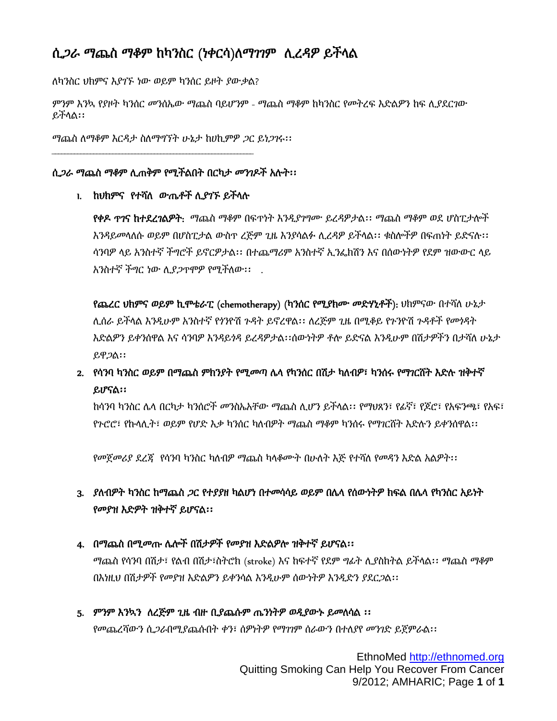## ሲጋራ ማጨስ ማቆም ከካንስር (ነቀርሳ)ለማገገም ሊረዳዎ ይችላል

ለካንስር ህክምና እያገኙ ነው ወይም ካንሰር ይዞት ያውቃል?

ምንም እንኳ የያዞት ካንሰር መንሰኤው ማጨስ ባይሆንም - ማጨስ ማቆም ከካንስር የመትረፍ እድልዎን ከፍ ሊያደርገው ይችላል፡፡

ማጨስ ለማቆም እርዳታ ስለማግኘት ሁኔታ ከሀኪምዎ ጋር ይነጋገሩ፡፡

#### ሲጋራ ማጨስ ማቆም ሊጠቅም የሚችልበት በርካታ መንገዶች አሉት፡፡

1. ከህክምና የተሻለ ውጤቶች ሊያገኙ ይችላሉ

የቀዶ ጥገና ከተደረገልዎት: ማጨስ ማቆም በፍጥነት እንዲያገግሙ ይረዳዎታል፡፡ ማጨስ ማቆም ወደ ሆስፒታሎች እንዳይመላለሱ ወይም በሆስፒታል ውስጥ ረጅም ጊዜ እንያሳልፉ ሊረዳዎ ይችላል፡፡ ቁስሎችዎ በፍጠነት ይድናሉ፡፡ ሳንባዎ ላይ አንስተኛ ችግሮች ይኖርዎታል፡፡ በተጨማሪም አንስተኛ ኢንፌክሽን እና በሰውነትዎ የደም ዝውውር ላይ አንስተኛ ችግር ነው ሊያጋጥሞዎ የሚችለው፡፡ .

የጨረር ህክምና ወይም ኪሞቴራፒ (chemotherapy) (ካንሰር የሚያክሙ መድሃኒቶች): ህክምናው በተሻለ ሁኔታ ሊሰራ ይችላል እንዲሁም አንስተኛ የጎንዮሽ ጉዳት ይኖረዋል፡፡ ለረጅም ጊዜ በሚቆይ የጉንዮሽ ጉዳቶች የመጎዳት እድልዎን ይቀንሰዋል እና ሳንባዎ እንዳይጎዳ ይረዳዎታል፡፡ሰውነትዎ ቶሎ ይድናል እንዲሁም በሽታዎችን በታሻለ ሁኔታ ይዋጋል፡፡

## 2. የሳንባ ካንስር ወይም በማጨስ ምክንያት የሚመጣ ሌላ የካንሰር በሽታ ካለብዎ፣ ካንሰሩ የማገርሸት እድሉ ዝቅተኛ ይሆናል፡፡

ከሳንባ ካንስር ሌላ በርካታ ካንሰሮች መንስኤአቸው ማጨስ ሊሆን ይችላል፡፡ የማህጸን፣ የፊኛ፣ የጆሮ፣ የአፍንጫ፣ የአፍ፣ የጉሮሮ፣ የኩላሊት፣ ወይም የሆድ እቃ ካንሰር ካለብዎት ማጨስ ማቆም ካንሰሩ የማገርሸት እድሉን ይቀንሰዋል፡፡

የመጀመሪያ ደረጃ የሳንባ ካንስር ካለብዎ ማጨስ ካላቆሙት በሁለት እጅ የተሻለ የመዳን እድል አልዎት፡፡

### 3. ያለብዎት ካንስር ከማጨስ ጋር የተያያዘ ካልሆነ በተመሳሳይ ወይም በሌላ የሰውነትዎ ክፍል በሌላ የካንስር አይነት የመያዝ እድዎት ዝቅተኛ ይሆናል፡፡

#### 4. በማጨስ በሚመጡ ሌሎች በሽታዎች የመያዝ እድልዎሎ ዝቅተኛ ይሆናል፡፡

ማጨስ የሳንባ በሽታ፣ የልብ በሽታ፣ስትሮክ (stroke) እና ከፍተኛ የደም ግፊት ሊያስከትል ይችላል፡፡ ማጨስ ማቆም በእነዚህ በሽታዎች የመያዝ እድልዎን ይቀንሳል እንዲሁም ሰውነትዎ እንዲድን ያደርጋል፡፡

5. ምንም እንኳን ለረጅም ጊዜ ብዙ ቢያጨሱም ጤንነትዎ ወዲያውኑ ይመለሳል ፡፡ የመጨረሻውን ሲጋራበሚያጨሱበት ቀን፣ ሰዎነትዎ የማገገም ሰራውን በተለያየ መንገድ ይጀምራል፡፡

> EthnoMed http://ethnomed.org Quitting Smoking Can Help You Recover From Cancer 9/2012; AMHARIC; Page **1** of **1**